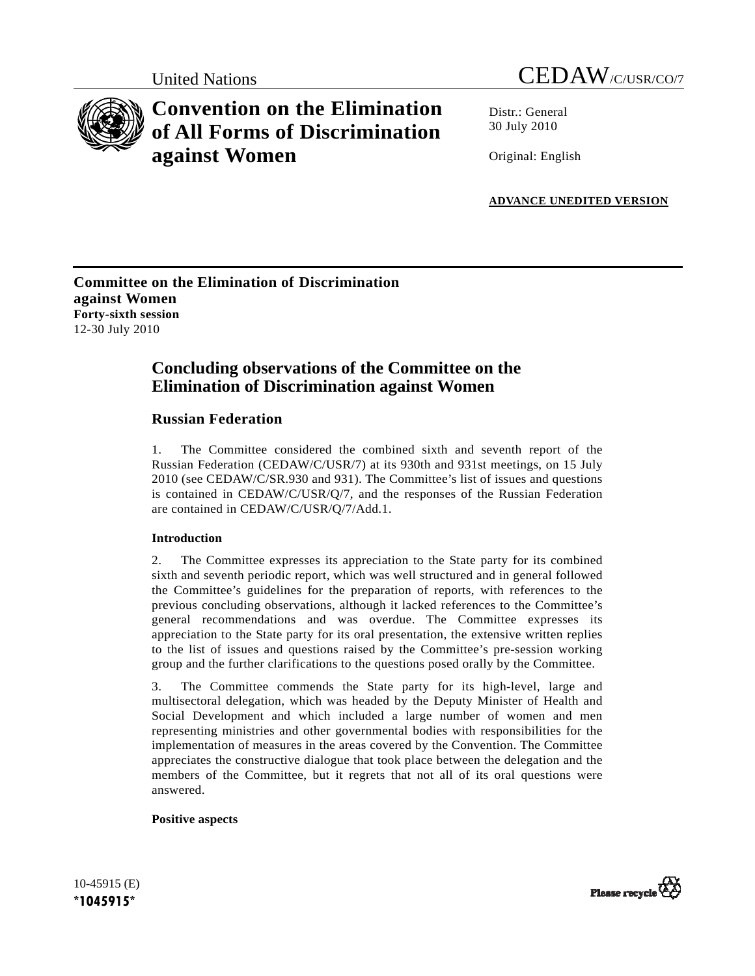



# **Convention on the Elimination of All Forms of Discrimination against Women**

Distr · General 30 July 2010

Original: English

**ADVANCE UNEDITED VERSION**

# **Committee on the Elimination of Discrimination against Women Forty-sixth session**  12-30 July 2010

# **Concluding observations of the Committee on the Elimination of Discrimination against Women**

# **Russian Federation**

1. The Committee considered the combined sixth and seventh report of the Russian Federation (CEDAW/C/USR/7) at its 930th and 931st meetings, on 15 July 2010 (see CEDAW/C/SR.930 and 931). The Committee's list of issues and questions is contained in CEDAW/C/USR/Q/7, and the responses of the Russian Federation are contained in CEDAW/C/USR/Q/7/Add.1.

# **Introduction**

2. The Committee expresses its appreciation to the State party for its combined sixth and seventh periodic report, which was well structured and in general followed the Committee's guidelines for the preparation of reports, with references to the previous concluding observations, although it lacked references to the Committee's general recommendations and was overdue. The Committee expresses its appreciation to the State party for its oral presentation, the extensive written replies to the list of issues and questions raised by the Committee's pre-session working group and the further clarifications to the questions posed orally by the Committee.

3. The Committee commends the State party for its high-level, large and multisectoral delegation, which was headed by the Deputy Minister of Health and Social Development and which included a large number of women and men representing ministries and other governmental bodies with responsibilities for the implementation of measures in the areas covered by the Convention. The Committee appreciates the constructive dialogue that took place between the delegation and the members of the Committee, but it regrets that not all of its oral questions were answered.

# **Positive aspects**

10-45915 (E) **\*1045915\*** 

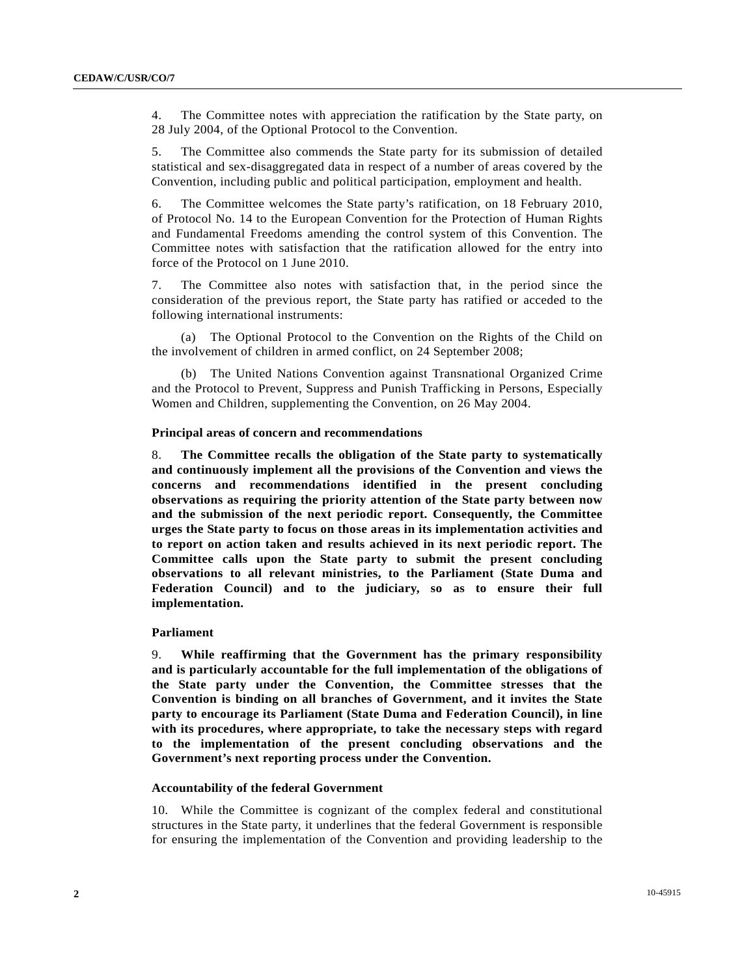4. The Committee notes with appreciation the ratification by the State party, on 28 July 2004, of the Optional Protocol to the Convention.

5. The Committee also commends the State party for its submission of detailed statistical and sex-disaggregated data in respect of a number of areas covered by the Convention, including public and political participation, employment and health.

6. The Committee welcomes the State party's ratification, on 18 February 2010, of Protocol No. 14 to the European Convention for the Protection of Human Rights and Fundamental Freedoms amending the control system of this Convention. The Committee notes with satisfaction that the ratification allowed for the entry into force of the Protocol on 1 June 2010.

7. The Committee also notes with satisfaction that, in the period since the consideration of the previous report, the State party has ratified or acceded to the following international instruments:

 (a) The Optional Protocol to the Convention on the Rights of the Child on the involvement of children in armed conflict, on 24 September 2008;

 (b) The United Nations Convention against Transnational Organized Crime and the Protocol to Prevent, Suppress and Punish Trafficking in Persons, Especially Women and Children, supplementing the Convention, on 26 May 2004.

# **Principal areas of concern and recommendations**

8. **The Committee recalls the obligation of the State party to systematically and continuously implement all the provisions of the Convention and views the concerns and recommendations identified in the present concluding observations as requiring the priority attention of the State party between now and the submission of the next periodic report. Consequently, the Committee urges the State party to focus on those areas in its implementation activities and to report on action taken and results achieved in its next periodic report. The Committee calls upon the State party to submit the present concluding observations to all relevant ministries, to the Parliament (State Duma and Federation Council) and to the judiciary, so as to ensure their full implementation.**

# **Parliament**

9. **While reaffirming that the Government has the primary responsibility and is particularly accountable for the full implementation of the obligations of the State party under the Convention, the Committee stresses that the Convention is binding on all branches of Government, and it invites the State party to encourage its Parliament (State Duma and Federation Council), in line with its procedures, where appropriate, to take the necessary steps with regard to the implementation of the present concluding observations and the Government's next reporting process under the Convention.**

# **Accountability of the federal Government**

10. While the Committee is cognizant of the complex federal and constitutional structures in the State party, it underlines that the federal Government is responsible for ensuring the implementation of the Convention and providing leadership to the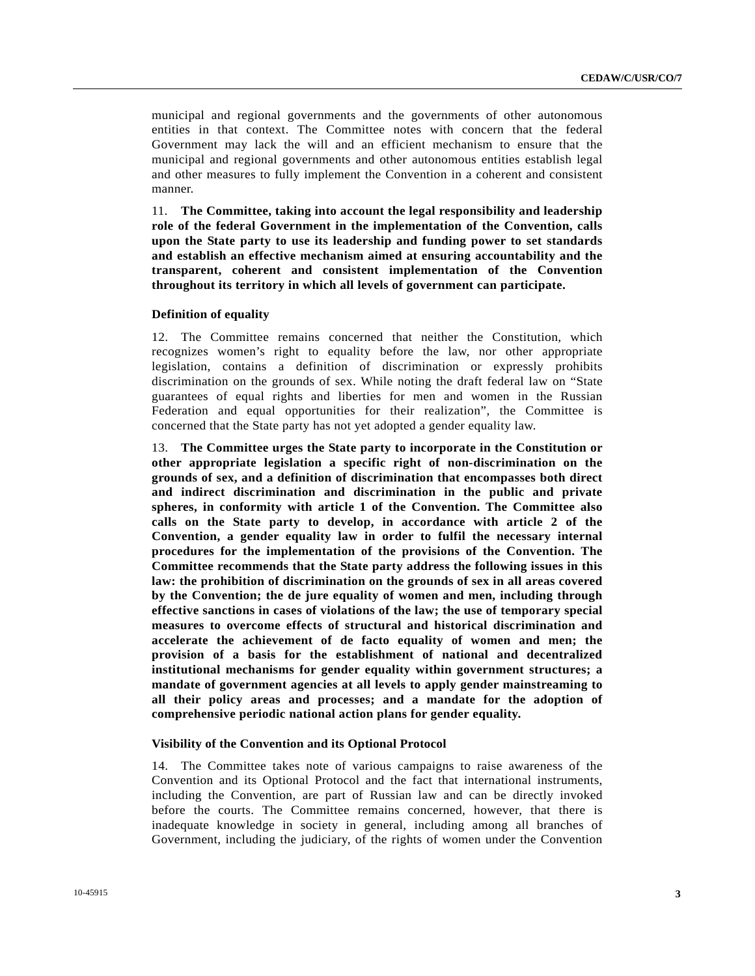municipal and regional governments and the governments of other autonomous entities in that context. The Committee notes with concern that the federal Government may lack the will and an efficient mechanism to ensure that the municipal and regional governments and other autonomous entities establish legal and other measures to fully implement the Convention in a coherent and consistent manner.

11. **The Committee, taking into account the legal responsibility and leadership role of the federal Government in the implementation of the Convention, calls upon the State party to use its leadership and funding power to set standards and establish an effective mechanism aimed at ensuring accountability and the transparent, coherent and consistent implementation of the Convention throughout its territory in which all levels of government can participate.**

## **Definition of equality**

12. The Committee remains concerned that neither the Constitution, which recognizes women's right to equality before the law, nor other appropriate legislation, contains a definition of discrimination or expressly prohibits discrimination on the grounds of sex. While noting the draft federal law on "State guarantees of equal rights and liberties for men and women in the Russian Federation and equal opportunities for their realization", the Committee is concerned that the State party has not yet adopted a gender equality law.

13. **The Committee urges the State party to incorporate in the Constitution or other appropriate legislation a specific right of non-discrimination on the grounds of sex, and a definition of discrimination that encompasses both direct and indirect discrimination and discrimination in the public and private spheres, in conformity with article 1 of the Convention. The Committee also calls on the State party to develop, in accordance with article 2 of the Convention, a gender equality law in order to fulfil the necessary internal procedures for the implementation of the provisions of the Convention. The Committee recommends that the State party address the following issues in this law: the prohibition of discrimination on the grounds of sex in all areas covered by the Convention; the de jure equality of women and men, including through effective sanctions in cases of violations of the law; the use of temporary special measures to overcome effects of structural and historical discrimination and accelerate the achievement of de facto equality of women and men; the provision of a basis for the establishment of national and decentralized institutional mechanisms for gender equality within government structures; a mandate of government agencies at all levels to apply gender mainstreaming to all their policy areas and processes; and a mandate for the adoption of comprehensive periodic national action plans for gender equality.**

# **Visibility of the Convention and its Optional Protocol**

14. The Committee takes note of various campaigns to raise awareness of the Convention and its Optional Protocol and the fact that international instruments, including the Convention, are part of Russian law and can be directly invoked before the courts. The Committee remains concerned, however, that there is inadequate knowledge in society in general, including among all branches of Government, including the judiciary, of the rights of women under the Convention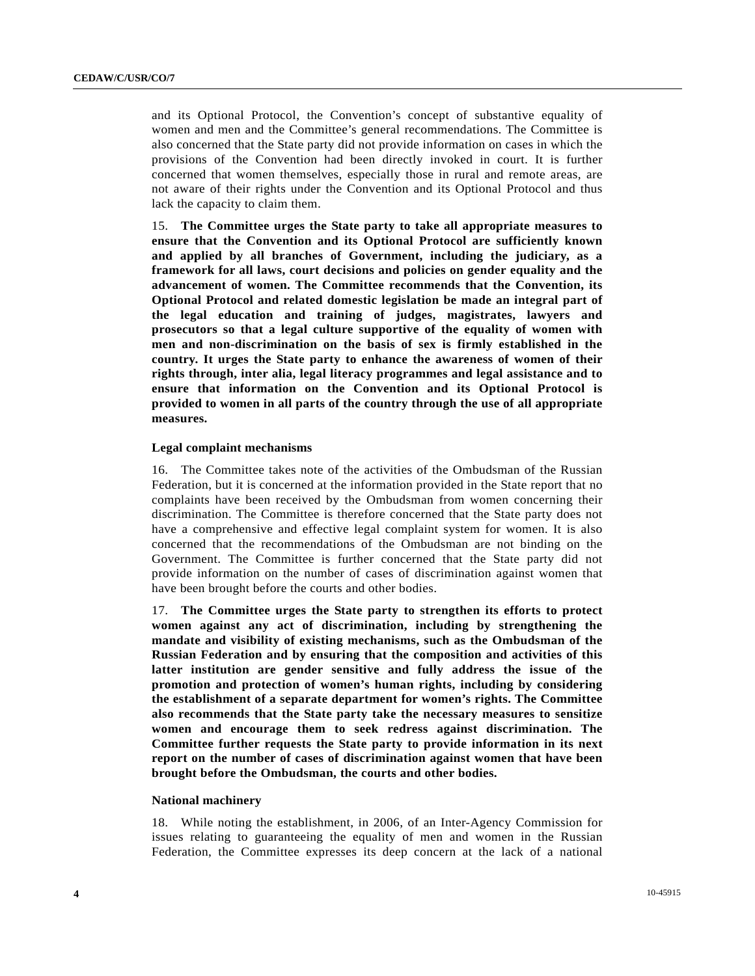and its Optional Protocol, the Convention's concept of substantive equality of women and men and the Committee's general recommendations. The Committee is also concerned that the State party did not provide information on cases in which the provisions of the Convention had been directly invoked in court. It is further concerned that women themselves, especially those in rural and remote areas, are not aware of their rights under the Convention and its Optional Protocol and thus lack the capacity to claim them.

15. **The Committee urges the State party to take all appropriate measures to ensure that the Convention and its Optional Protocol are sufficiently known and applied by all branches of Government, including the judiciary, as a framework for all laws, court decisions and policies on gender equality and the advancement of women. The Committee recommends that the Convention, its Optional Protocol and related domestic legislation be made an integral part of the legal education and training of judges, magistrates, lawyers and prosecutors so that a legal culture supportive of the equality of women with men and non-discrimination on the basis of sex is firmly established in the country. It urges the State party to enhance the awareness of women of their rights through, inter alia, legal literacy programmes and legal assistance and to ensure that information on the Convention and its Optional Protocol is provided to women in all parts of the country through the use of all appropriate measures.**

# **Legal complaint mechanisms**

16. The Committee takes note of the activities of the Ombudsman of the Russian Federation, but it is concerned at the information provided in the State report that no complaints have been received by the Ombudsman from women concerning their discrimination. The Committee is therefore concerned that the State party does not have a comprehensive and effective legal complaint system for women. It is also concerned that the recommendations of the Ombudsman are not binding on the Government. The Committee is further concerned that the State party did not provide information on the number of cases of discrimination against women that have been brought before the courts and other bodies.

17. **The Committee urges the State party to strengthen its efforts to protect women against any act of discrimination, including by strengthening the mandate and visibility of existing mechanisms, such as the Ombudsman of the Russian Federation and by ensuring that the composition and activities of this latter institution are gender sensitive and fully address the issue of the promotion and protection of women's human rights, including by considering the establishment of a separate department for women's rights. The Committee also recommends that the State party take the necessary measures to sensitize women and encourage them to seek redress against discrimination. The Committee further requests the State party to provide information in its next report on the number of cases of discrimination against women that have been brought before the Ombudsman, the courts and other bodies.**

# **National machinery**

18. While noting the establishment, in 2006, of an Inter-Agency Commission for issues relating to guaranteeing the equality of men and women in the Russian Federation, the Committee expresses its deep concern at the lack of a national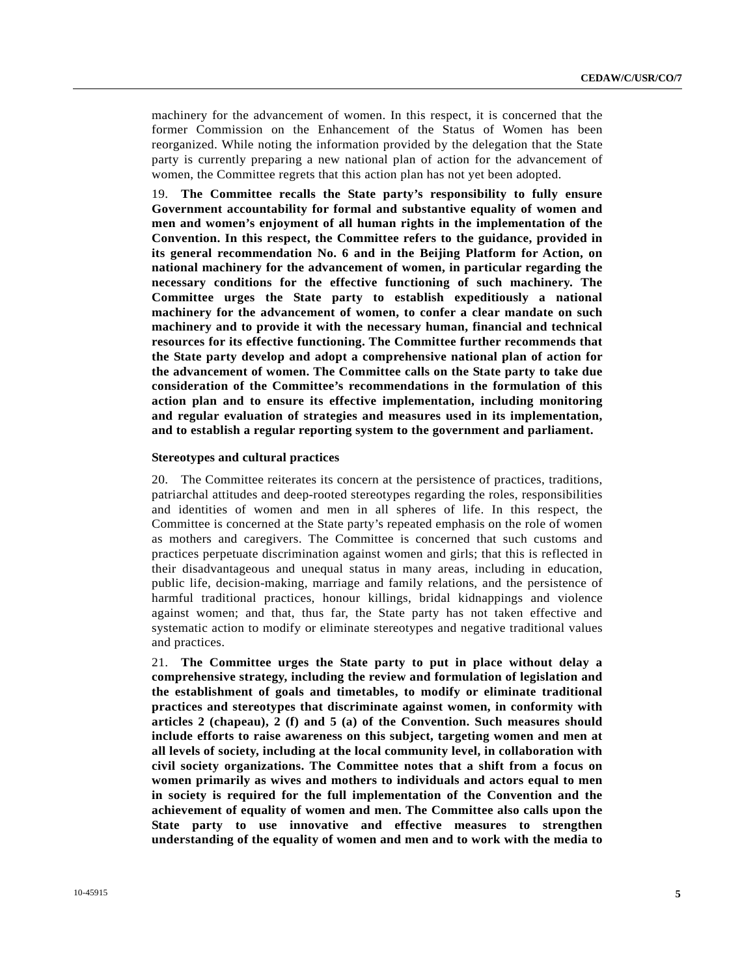machinery for the advancement of women. In this respect, it is concerned that the former Commission on the Enhancement of the Status of Women has been reorganized. While noting the information provided by the delegation that the State party is currently preparing a new national plan of action for the advancement of women, the Committee regrets that this action plan has not yet been adopted.

19. **The Committee recalls the State party's responsibility to fully ensure Government accountability for formal and substantive equality of women and men and women's enjoyment of all human rights in the implementation of the Convention. In this respect, the Committee refers to the guidance, provided in its general recommendation No. 6 and in the Beijing Platform for Action, on national machinery for the advancement of women, in particular regarding the necessary conditions for the effective functioning of such machinery. The Committee urges the State party to establish expeditiously a national machinery for the advancement of women, to confer a clear mandate on such machinery and to provide it with the necessary human, financial and technical resources for its effective functioning. The Committee further recommends that the State party develop and adopt a comprehensive national plan of action for the advancement of women. The Committee calls on the State party to take due consideration of the Committee's recommendations in the formulation of this action plan and to ensure its effective implementation, including monitoring and regular evaluation of strategies and measures used in its implementation, and to establish a regular reporting system to the government and parliament.**

#### **Stereotypes and cultural practices**

20. The Committee reiterates its concern at the persistence of practices, traditions, patriarchal attitudes and deep-rooted stereotypes regarding the roles, responsibilities and identities of women and men in all spheres of life. In this respect, the Committee is concerned at the State party's repeated emphasis on the role of women as mothers and caregivers. The Committee is concerned that such customs and practices perpetuate discrimination against women and girls; that this is reflected in their disadvantageous and unequal status in many areas, including in education, public life, decision-making, marriage and family relations, and the persistence of harmful traditional practices, honour killings, bridal kidnappings and violence against women; and that, thus far, the State party has not taken effective and systematic action to modify or eliminate stereotypes and negative traditional values and practices.

21. **The Committee urges the State party to put in place without delay a comprehensive strategy, including the review and formulation of legislation and the establishment of goals and timetables, to modify or eliminate traditional practices and stereotypes that discriminate against women, in conformity with articles 2 (chapeau), 2 (f) and 5 (a) of the Convention. Such measures should include efforts to raise awareness on this subject, targeting women and men at all levels of society, including at the local community level, in collaboration with civil society organizations. The Committee notes that a shift from a focus on women primarily as wives and mothers to individuals and actors equal to men in society is required for the full implementation of the Convention and the achievement of equality of women and men. The Committee also calls upon the State party to use innovative and effective measures to strengthen understanding of the equality of women and men and to work with the media to**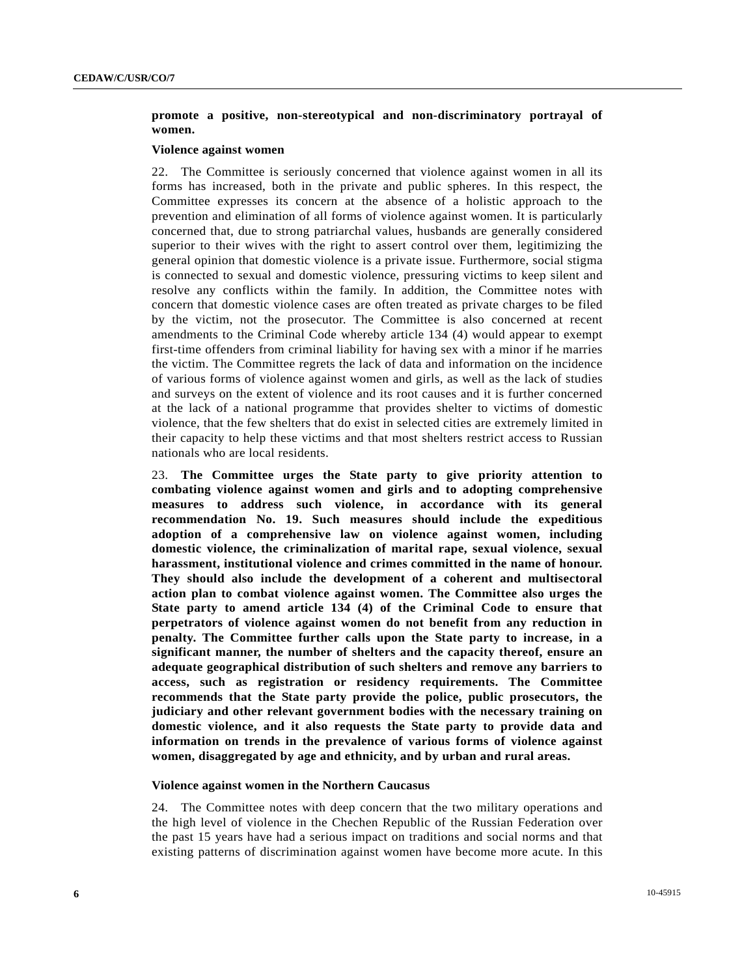# **promote a positive, non-stereotypical and non-discriminatory portrayal of women.**

# **Violence against women**

22. The Committee is seriously concerned that violence against women in all its forms has increased, both in the private and public spheres. In this respect, the Committee expresses its concern at the absence of a holistic approach to the prevention and elimination of all forms of violence against women. It is particularly concerned that, due to strong patriarchal values, husbands are generally considered superior to their wives with the right to assert control over them, legitimizing the general opinion that domestic violence is a private issue. Furthermore, social stigma is connected to sexual and domestic violence, pressuring victims to keep silent and resolve any conflicts within the family. In addition, the Committee notes with concern that domestic violence cases are often treated as private charges to be filed by the victim, not the prosecutor. The Committee is also concerned at recent amendments to the Criminal Code whereby article 134 (4) would appear to exempt first-time offenders from criminal liability for having sex with a minor if he marries the victim. The Committee regrets the lack of data and information on the incidence of various forms of violence against women and girls, as well as the lack of studies and surveys on the extent of violence and its root causes and it is further concerned at the lack of a national programme that provides shelter to victims of domestic violence, that the few shelters that do exist in selected cities are extremely limited in their capacity to help these victims and that most shelters restrict access to Russian nationals who are local residents.

23. **The Committee urges the State party to give priority attention to combating violence against women and girls and to adopting comprehensive measures to address such violence, in accordance with its general recommendation No. 19. Such measures should include the expeditious adoption of a comprehensive law on violence against women, including domestic violence, the criminalization of marital rape, sexual violence, sexual harassment, institutional violence and crimes committed in the name of honour. They should also include the development of a coherent and multisectoral action plan to combat violence against women. The Committee also urges the State party to amend article 134 (4) of the Criminal Code to ensure that perpetrators of violence against women do not benefit from any reduction in penalty. The Committee further calls upon the State party to increase, in a significant manner, the number of shelters and the capacity thereof, ensure an adequate geographical distribution of such shelters and remove any barriers to access, such as registration or residency requirements. The Committee recommends that the State party provide the police, public prosecutors, the judiciary and other relevant government bodies with the necessary training on domestic violence, and it also requests the State party to provide data and information on trends in the prevalence of various forms of violence against women, disaggregated by age and ethnicity, and by urban and rural areas.**

# **Violence against women in the Northern Caucasus**

24. The Committee notes with deep concern that the two military operations and the high level of violence in the Chechen Republic of the Russian Federation over the past 15 years have had a serious impact on traditions and social norms and that existing patterns of discrimination against women have become more acute. In this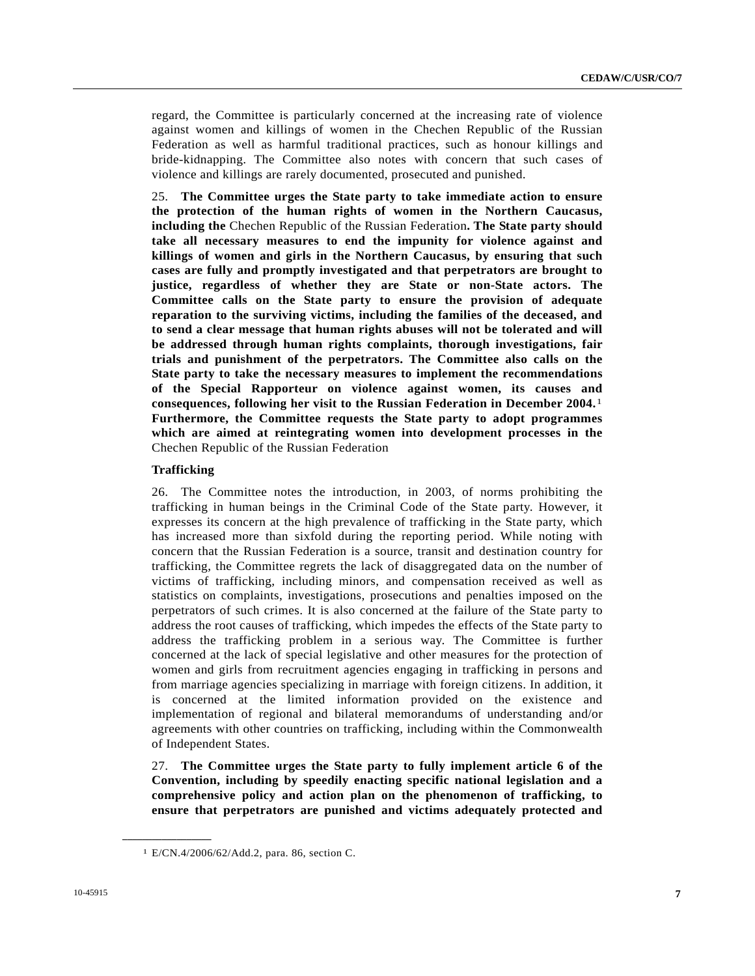regard, the Committee is particularly concerned at the increasing rate of violence against women and killings of women in the Chechen Republic of the Russian Federation as well as harmful traditional practices, such as honour killings and bride-kidnapping. The Committee also notes with concern that such cases of violence and killings are rarely documented, prosecuted and punished.

25. **The Committee urges the State party to take immediate action to ensure the protection of the human rights of women in the Northern Caucasus, including the** Chechen Republic of the Russian Federation**. The State party should take all necessary measures to end the impunity for violence against and killings of women and girls in the Northern Caucasus, by ensuring that such cases are fully and promptly investigated and that perpetrators are brought to justice, regardless of whether they are State or non-State actors. The Committee calls on the State party to ensure the provision of adequate reparation to the surviving victims, including the families of the deceased, and to send a clear message that human rights abuses will not be tolerated and will be addressed through human rights complaints, thorough investigations, fair trials and punishment of the perpetrators. The Committee also calls on the State party to take the necessary measures to implement the recommendations of the Special Rapporteur on violence against women, its causes and consequences, following her visit to the Russian Federation in December 2004.**[1](#page-6-0) **Furthermore, the Committee requests the State party to adopt programmes which are aimed at reintegrating women into development processes in the**  Chechen Republic of the Russian Federation

## **Trafficking**

26. The Committee notes the introduction, in 2003, of norms prohibiting the trafficking in human beings in the Criminal Code of the State party. However, it expresses its concern at the high prevalence of trafficking in the State party, which has increased more than sixfold during the reporting period. While noting with concern that the Russian Federation is a source, transit and destination country for trafficking, the Committee regrets the lack of disaggregated data on the number of victims of trafficking, including minors, and compensation received as well as statistics on complaints, investigations, prosecutions and penalties imposed on the perpetrators of such crimes. It is also concerned at the failure of the State party to address the root causes of trafficking, which impedes the effects of the State party to address the trafficking problem in a serious way. The Committee is further concerned at the lack of special legislative and other measures for the protection of women and girls from recruitment agencies engaging in trafficking in persons and from marriage agencies specializing in marriage with foreign citizens. In addition, it is concerned at the limited information provided on the existence and implementation of regional and bilateral memorandums of understanding and/or agreements with other countries on trafficking, including within the Commonwealth of Independent States.

27. **The Committee urges the State party to fully implement article 6 of the Convention, including by speedily enacting specific national legislation and a comprehensive policy and action plan on the phenomenon of trafficking, to ensure that perpetrators are punished and victims adequately protected and** 

<span id="page-6-0"></span>**\_\_\_\_\_\_\_\_\_\_\_\_\_\_\_\_\_\_** 

<sup>1</sup> E/CN.4/2006/62/Add.2, para. 86, section C.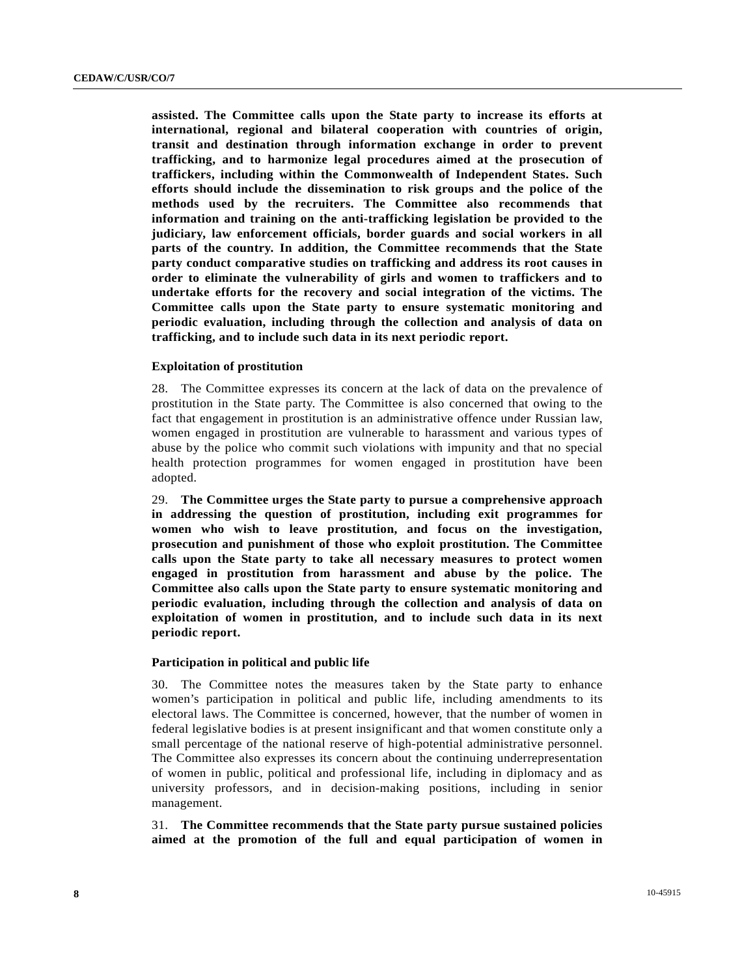**assisted. The Committee calls upon the State party to increase its efforts at international, regional and bilateral cooperation with countries of origin, transit and destination through information exchange in order to prevent trafficking, and to harmonize legal procedures aimed at the prosecution of traffickers, including within the Commonwealth of Independent States. Such efforts should include the dissemination to risk groups and the police of the methods used by the recruiters. The Committee also recommends that information and training on the anti-trafficking legislation be provided to the judiciary, law enforcement officials, border guards and social workers in all parts of the country. In addition, the Committee recommends that the State party conduct comparative studies on trafficking and address its root causes in order to eliminate the vulnerability of girls and women to traffickers and to undertake efforts for the recovery and social integration of the victims. The Committee calls upon the State party to ensure systematic monitoring and periodic evaluation, including through the collection and analysis of data on trafficking, and to include such data in its next periodic report.**

# **Exploitation of prostitution**

28. The Committee expresses its concern at the lack of data on the prevalence of prostitution in the State party. The Committee is also concerned that owing to the fact that engagement in prostitution is an administrative offence under Russian law, women engaged in prostitution are vulnerable to harassment and various types of abuse by the police who commit such violations with impunity and that no special health protection programmes for women engaged in prostitution have been adopted.

29. **The Committee urges the State party to pursue a comprehensive approach in addressing the question of prostitution, including exit programmes for women who wish to leave prostitution, and focus on the investigation, prosecution and punishment of those who exploit prostitution. The Committee calls upon the State party to take all necessary measures to protect women engaged in prostitution from harassment and abuse by the police. The Committee also calls upon the State party to ensure systematic monitoring and periodic evaluation, including through the collection and analysis of data on exploitation of women in prostitution, and to include such data in its next periodic report.**

# **Participation in political and public life**

30. The Committee notes the measures taken by the State party to enhance women's participation in political and public life, including amendments to its electoral laws. The Committee is concerned, however, that the number of women in federal legislative bodies is at present insignificant and that women constitute only a small percentage of the national reserve of high-potential administrative personnel. The Committee also expresses its concern about the continuing underrepresentation of women in public, political and professional life, including in diplomacy and as university professors, and in decision-making positions, including in senior management.

31. **The Committee recommends that the State party pursue sustained policies aimed at the promotion of the full and equal participation of women in**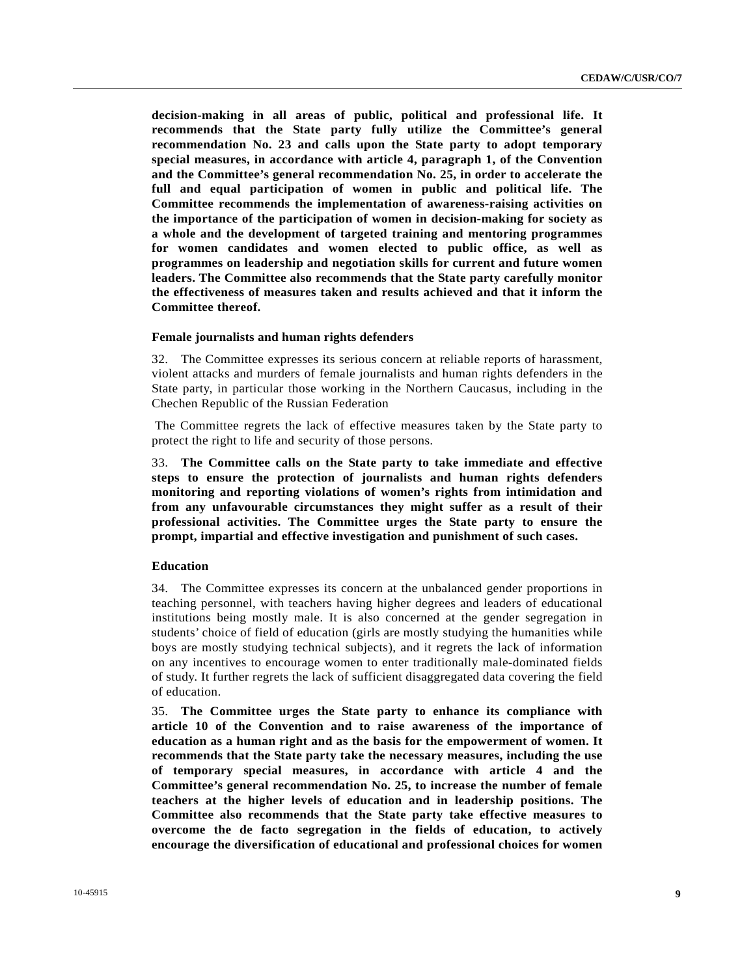**decision-making in all areas of public, political and professional life. It recommends that the State party fully utilize the Committee's general recommendation No. 23 and calls upon the State party to adopt temporary special measures, in accordance with article 4, paragraph 1, of the Convention and the Committee's general recommendation No. 25, in order to accelerate the full and equal participation of women in public and political life. The Committee recommends the implementation of awareness-raising activities on the importance of the participation of women in decision-making for society as a whole and the development of targeted training and mentoring programmes for women candidates and women elected to public office, as well as programmes on leadership and negotiation skills for current and future women leaders. The Committee also recommends that the State party carefully monitor the effectiveness of measures taken and results achieved and that it inform the Committee thereof.**

# **Female journalists and human rights defenders**

32. The Committee expresses its serious concern at reliable reports of harassment, violent attacks and murders of female journalists and human rights defenders in the State party, in particular those working in the Northern Caucasus, including in the Chechen Republic of the Russian Federation

 The Committee regrets the lack of effective measures taken by the State party to protect the right to life and security of those persons.

33. **The Committee calls on the State party to take immediate and effective steps to ensure the protection of journalists and human rights defenders monitoring and reporting violations of women's rights from intimidation and from any unfavourable circumstances they might suffer as a result of their professional activities. The Committee urges the State party to ensure the prompt, impartial and effective investigation and punishment of such cases.**

#### **Education**

34. The Committee expresses its concern at the unbalanced gender proportions in teaching personnel, with teachers having higher degrees and leaders of educational institutions being mostly male. It is also concerned at the gender segregation in students' choice of field of education (girls are mostly studying the humanities while boys are mostly studying technical subjects), and it regrets the lack of information on any incentives to encourage women to enter traditionally male-dominated fields of study. It further regrets the lack of sufficient disaggregated data covering the field of education.

35. **The Committee urges the State party to enhance its compliance with article 10 of the Convention and to raise awareness of the importance of education as a human right and as the basis for the empowerment of women. It recommends that the State party take the necessary measures, including the use of temporary special measures, in accordance with article 4 and the Committee's general recommendation No. 25, to increase the number of female teachers at the higher levels of education and in leadership positions. The Committee also recommends that the State party take effective measures to overcome the de facto segregation in the fields of education, to actively encourage the diversification of educational and professional choices for women**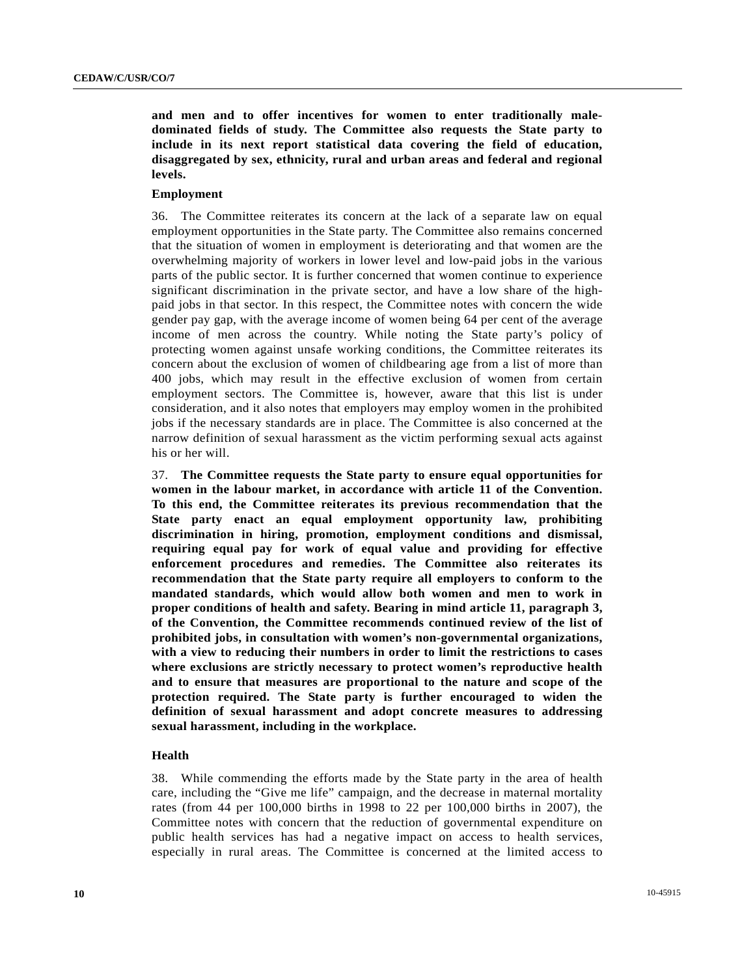**and men and to offer incentives for women to enter traditionally maledominated fields of study. The Committee also requests the State party to include in its next report statistical data covering the field of education, disaggregated by sex, ethnicity, rural and urban areas and federal and regional levels.** 

#### **Employment**

36. The Committee reiterates its concern at the lack of a separate law on equal employment opportunities in the State party. The Committee also remains concerned that the situation of women in employment is deteriorating and that women are the overwhelming majority of workers in lower level and low-paid jobs in the various parts of the public sector. It is further concerned that women continue to experience significant discrimination in the private sector, and have a low share of the highpaid jobs in that sector. In this respect, the Committee notes with concern the wide gender pay gap, with the average income of women being 64 per cent of the average income of men across the country. While noting the State party's policy of protecting women against unsafe working conditions, the Committee reiterates its concern about the exclusion of women of childbearing age from a list of more than 400 jobs, which may result in the effective exclusion of women from certain employment sectors. The Committee is, however, aware that this list is under consideration, and it also notes that employers may employ women in the prohibited jobs if the necessary standards are in place. The Committee is also concerned at the narrow definition of sexual harassment as the victim performing sexual acts against his or her will.

37. **The Committee requests the State party to ensure equal opportunities for women in the labour market, in accordance with article 11 of the Convention. To this end, the Committee reiterates its previous recommendation that the State party enact an equal employment opportunity law, prohibiting discrimination in hiring, promotion, employment conditions and dismissal, requiring equal pay for work of equal value and providing for effective enforcement procedures and remedies. The Committee also reiterates its recommendation that the State party require all employers to conform to the mandated standards, which would allow both women and men to work in proper conditions of health and safety. Bearing in mind article 11, paragraph 3, of the Convention, the Committee recommends continued review of the list of prohibited jobs, in consultation with women's non-governmental organizations, with a view to reducing their numbers in order to limit the restrictions to cases where exclusions are strictly necessary to protect women's reproductive health and to ensure that measures are proportional to the nature and scope of the protection required. The State party is further encouraged to widen the definition of sexual harassment and adopt concrete measures to addressing sexual harassment, including in the workplace.**

# **Health**

38. While commending the efforts made by the State party in the area of health care, including the "Give me life" campaign, and the decrease in maternal mortality rates (from 44 per 100,000 births in 1998 to 22 per 100,000 births in 2007), the Committee notes with concern that the reduction of governmental expenditure on public health services has had a negative impact on access to health services, especially in rural areas. The Committee is concerned at the limited access to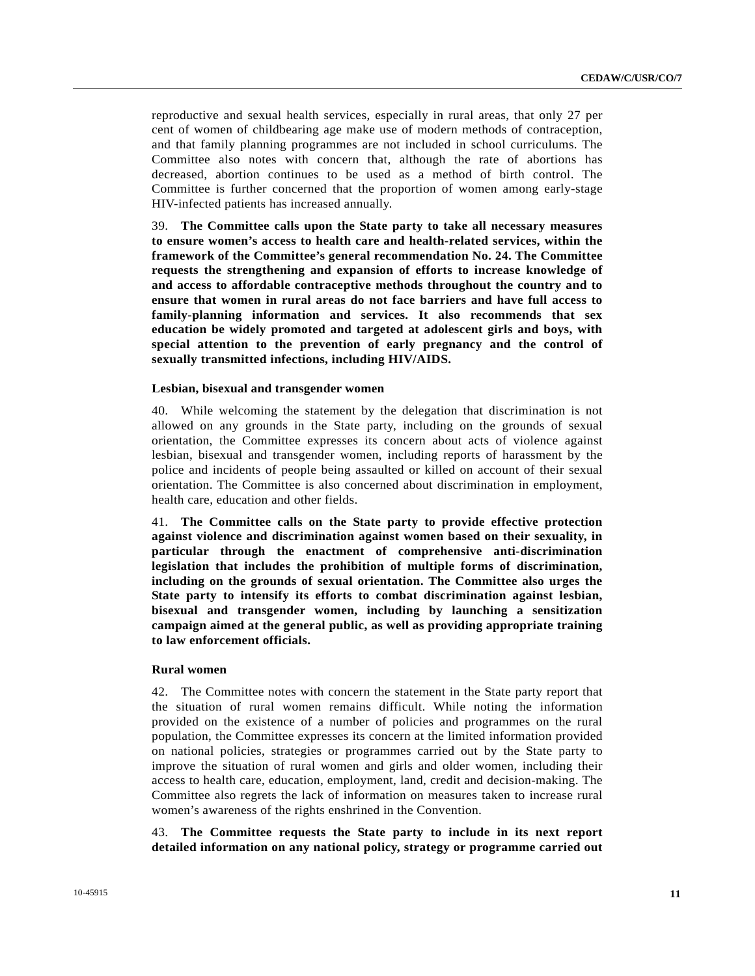reproductive and sexual health services, especially in rural areas, that only 27 per cent of women of childbearing age make use of modern methods of contraception, and that family planning programmes are not included in school curriculums. The Committee also notes with concern that, although the rate of abortions has decreased, abortion continues to be used as a method of birth control. The Committee is further concerned that the proportion of women among early-stage HIV-infected patients has increased annually.

39. **The Committee calls upon the State party to take all necessary measures to ensure women's access to health care and health-related services, within the framework of the Committee's general recommendation No. 24. The Committee requests the strengthening and expansion of efforts to increase knowledge of and access to affordable contraceptive methods throughout the country and to ensure that women in rural areas do not face barriers and have full access to family-planning information and services. It also recommends that sex education be widely promoted and targeted at adolescent girls and boys, with special attention to the prevention of early pregnancy and the control of sexually transmitted infections, including HIV/AIDS.**

## **Lesbian, bisexual and transgender women**

40. While welcoming the statement by the delegation that discrimination is not allowed on any grounds in the State party, including on the grounds of sexual orientation, the Committee expresses its concern about acts of violence against lesbian, bisexual and transgender women, including reports of harassment by the police and incidents of people being assaulted or killed on account of their sexual orientation. The Committee is also concerned about discrimination in employment, health care, education and other fields.

41. **The Committee calls on the State party to provide effective protection against violence and discrimination against women based on their sexuality, in particular through the enactment of comprehensive anti-discrimination legislation that includes the prohibition of multiple forms of discrimination, including on the grounds of sexual orientation. The Committee also urges the State party to intensify its efforts to combat discrimination against lesbian, bisexual and transgender women, including by launching a sensitization campaign aimed at the general public, as well as providing appropriate training to law enforcement officials.**

# **Rural women**

42. The Committee notes with concern the statement in the State party report that the situation of rural women remains difficult. While noting the information provided on the existence of a number of policies and programmes on the rural population, the Committee expresses its concern at the limited information provided on national policies, strategies or programmes carried out by the State party to improve the situation of rural women and girls and older women, including their access to health care, education, employment, land, credit and decision-making. The Committee also regrets the lack of information on measures taken to increase rural women's awareness of the rights enshrined in the Convention.

43. **The Committee requests the State party to include in its next report detailed information on any national policy, strategy or programme carried out**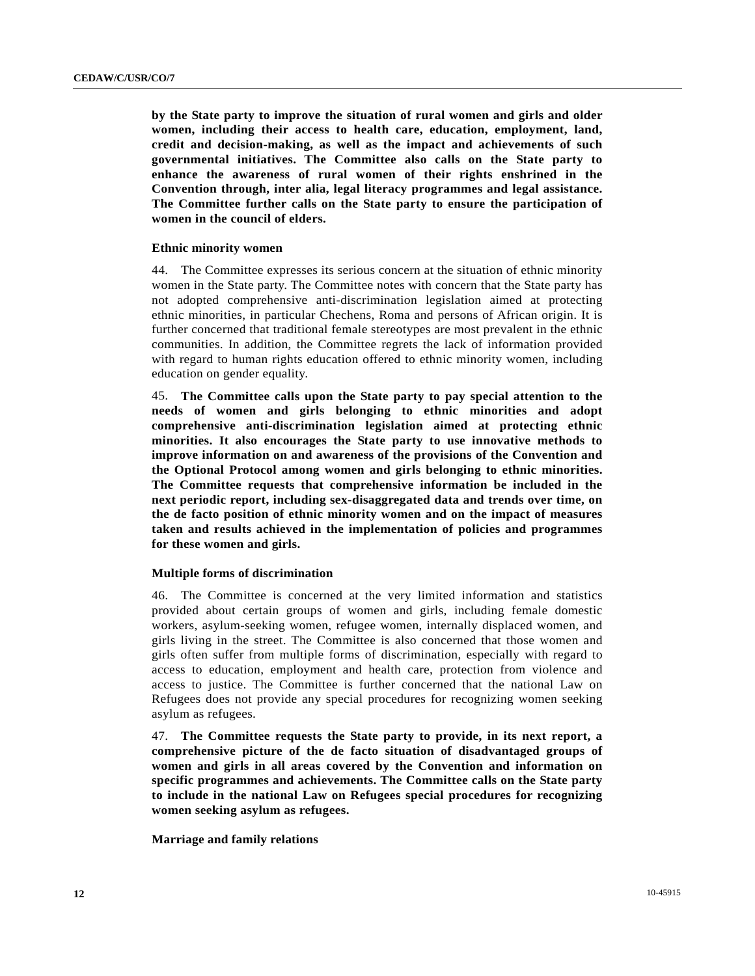**by the State party to improve the situation of rural women and girls and older women, including their access to health care, education, employment, land, credit and decision-making, as well as the impact and achievements of such governmental initiatives. The Committee also calls on the State party to enhance the awareness of rural women of their rights enshrined in the Convention through, inter alia, legal literacy programmes and legal assistance. The Committee further calls on the State party to ensure the participation of women in the council of elders.** 

# **Ethnic minority women**

44. The Committee expresses its serious concern at the situation of ethnic minority women in the State party. The Committee notes with concern that the State party has not adopted comprehensive anti-discrimination legislation aimed at protecting ethnic minorities, in particular Chechens, Roma and persons of African origin. It is further concerned that traditional female stereotypes are most prevalent in the ethnic communities. In addition, the Committee regrets the lack of information provided with regard to human rights education offered to ethnic minority women, including education on gender equality.

45. **The Committee calls upon the State party to pay special attention to the needs of women and girls belonging to ethnic minorities and adopt comprehensive anti-discrimination legislation aimed at protecting ethnic minorities. It also encourages the State party to use innovative methods to improve information on and awareness of the provisions of the Convention and the Optional Protocol among women and girls belonging to ethnic minorities. The Committee requests that comprehensive information be included in the next periodic report, including sex-disaggregated data and trends over time, on the de facto position of ethnic minority women and on the impact of measures taken and results achieved in the implementation of policies and programmes for these women and girls.**

# **Multiple forms of discrimination**

46. The Committee is concerned at the very limited information and statistics provided about certain groups of women and girls, including female domestic workers, asylum-seeking women, refugee women, internally displaced women, and girls living in the street. The Committee is also concerned that those women and girls often suffer from multiple forms of discrimination, especially with regard to access to education, employment and health care, protection from violence and access to justice. The Committee is further concerned that the national Law on Refugees does not provide any special procedures for recognizing women seeking asylum as refugees.

47. **The Committee requests the State party to provide, in its next report, a comprehensive picture of the de facto situation of disadvantaged groups of women and girls in all areas covered by the Convention and information on specific programmes and achievements. The Committee calls on the State party to include in the national Law on Refugees special procedures for recognizing women seeking asylum as refugees.**

 **Marriage and family relations**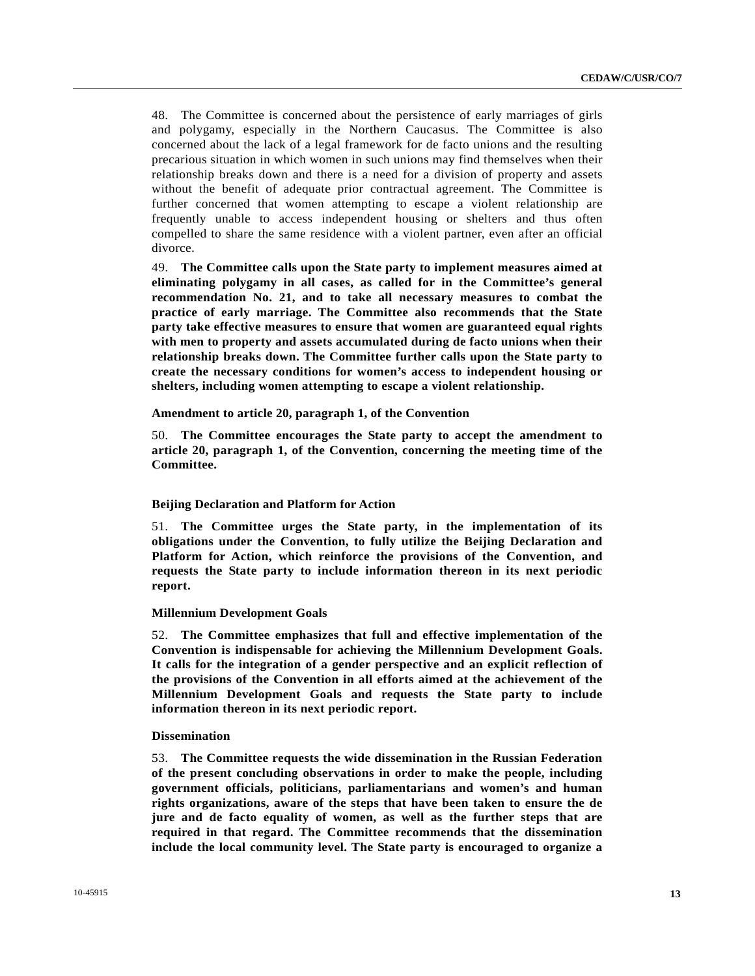48. The Committee is concerned about the persistence of early marriages of girls and polygamy, especially in the Northern Caucasus. The Committee is also concerned about the lack of a legal framework for de facto unions and the resulting precarious situation in which women in such unions may find themselves when their relationship breaks down and there is a need for a division of property and assets without the benefit of adequate prior contractual agreement. The Committee is further concerned that women attempting to escape a violent relationship are frequently unable to access independent housing or shelters and thus often compelled to share the same residence with a violent partner, even after an official divorce.

49. **The Committee calls upon the State party to implement measures aimed at eliminating polygamy in all cases, as called for in the Committee's general recommendation No. 21, and to take all necessary measures to combat the practice of early marriage. The Committee also recommends that the State party take effective measures to ensure that women are guaranteed equal rights with men to property and assets accumulated during de facto unions when their relationship breaks down. The Committee further calls upon the State party to create the necessary conditions for women's access to independent housing or shelters, including women attempting to escape a violent relationship.** 

# **Amendment to article 20, paragraph 1, of the Convention**

50. **The Committee encourages the State party to accept the amendment to article 20, paragraph 1, of the Convention, concerning the meeting time of the Committee.**

# **Beijing Declaration and Platform for Action**

51. **The Committee urges the State party, in the implementation of its obligations under the Convention, to fully utilize the Beijing Declaration and Platform for Action, which reinforce the provisions of the Convention, and requests the State party to include information thereon in its next periodic report.**

#### **Millennium Development Goals**

52. **The Committee emphasizes that full and effective implementation of the Convention is indispensable for achieving the Millennium Development Goals. It calls for the integration of a gender perspective and an explicit reflection of the provisions of the Convention in all efforts aimed at the achievement of the Millennium Development Goals and requests the State party to include information thereon in its next periodic report.**

#### **Dissemination**

53. **The Committee requests the wide dissemination in the Russian Federation of the present concluding observations in order to make the people, including government officials, politicians, parliamentarians and women's and human rights organizations, aware of the steps that have been taken to ensure the de jure and de facto equality of women, as well as the further steps that are required in that regard. The Committee recommends that the dissemination include the local community level. The State party is encouraged to organize a**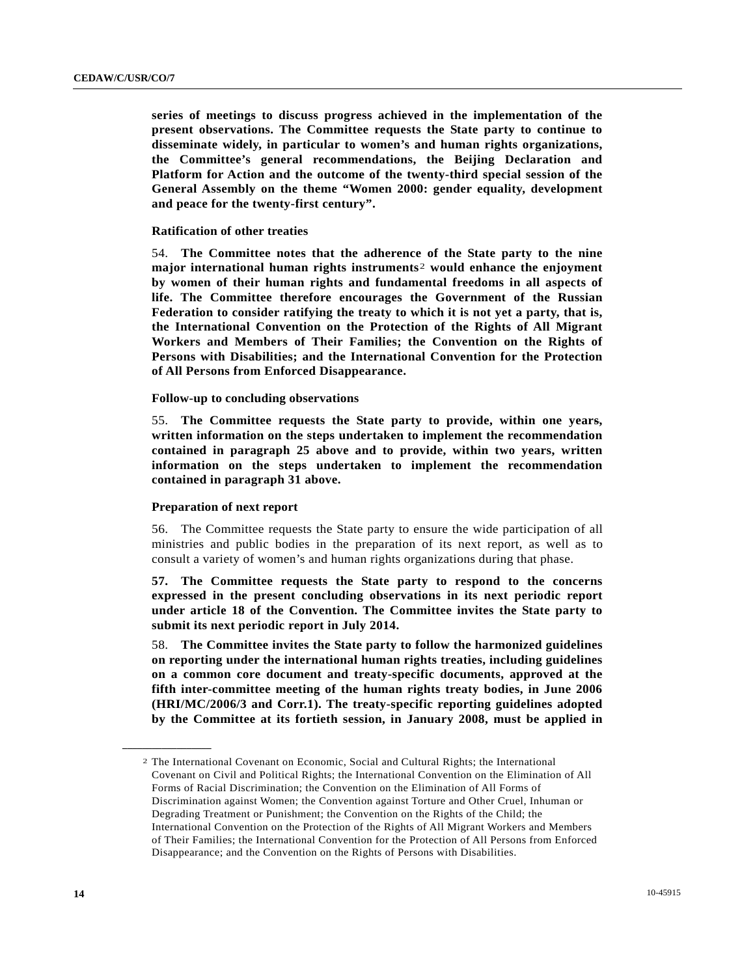**series of meetings to discuss progress achieved in the implementation of the present observations. The Committee requests the State party to continue to disseminate widely, in particular to women's and human rights organizations, the Committee's general recommendations, the Beijing Declaration and Platform for Action and the outcome of the twenty-third special session of the General Assembly on the theme "Women 2000: gender equality, development and peace for the twenty-first century".**

# **Ratification of other treaties**

54. **The Committee notes that the adherence of the State party to the nine major international human rights instruments**[2](#page-13-0) **would enhance the enjoyment by women of their human rights and fundamental freedoms in all aspects of life. The Committee therefore encourages the Government of the Russian Federation to consider ratifying the treaty to which it is not yet a party, that is, the International Convention on the Protection of the Rights of All Migrant Workers and Members of Their Families; the Convention on the Rights of Persons with Disabilities; and the International Convention for the Protection of All Persons from Enforced Disappearance.**

# **Follow-up to concluding observations**

55. **The Committee requests the State party to provide, within one years, written information on the steps undertaken to implement the recommendation contained in paragraph 25 above and to provide, within two years, written information on the steps undertaken to implement the recommendation contained in paragraph 31 above.**

## **Preparation of next report**

<span id="page-13-0"></span>**\_\_\_\_\_\_\_\_\_\_\_\_\_\_\_\_\_\_** 

 56. The Committee requests the State party to ensure the wide participation of all ministries and public bodies in the preparation of its next report, as well as to consult a variety of women's and human rights organizations during that phase.

**57. The Committee requests the State party to respond to the concerns expressed in the present concluding observations in its next periodic report under article 18 of the Convention. The Committee invites the State party to submit its next periodic report in July 2014.** 

58. **The Committee invites the State party to follow the harmonized guidelines on reporting under the international human rights treaties, including guidelines on a common core document and treaty-specific documents, approved at the fifth inter-committee meeting of the human rights treaty bodies, in June 2006 (HRI/MC/2006/3 and Corr.1). The treaty-specific reporting guidelines adopted by the Committee at its fortieth session, in January 2008, must be applied in** 

<sup>2</sup> The International Covenant on Economic, Social and Cultural Rights; the International Covenant on Civil and Political Rights; the International Convention on the Elimination of All Forms of Racial Discrimination; the Convention on the Elimination of All Forms of Discrimination against Women; the Convention against Torture and Other Cruel, Inhuman or Degrading Treatment or Punishment; the Convention on the Rights of the Child; the International Convention on the Protection of the Rights of All Migrant Workers and Members of Their Families; the International Convention for the Protection of All Persons from Enforced Disappearance; and the Convention on the Rights of Persons with Disabilities.